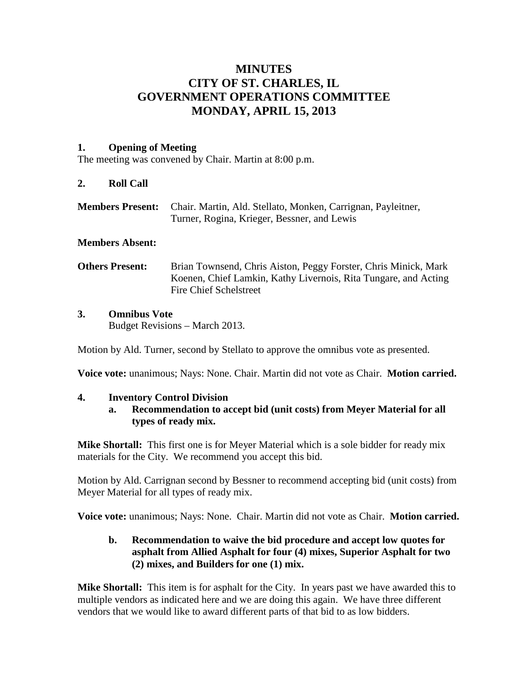# **MINUTES CITY OF ST. CHARLES, IL GOVERNMENT OPERATIONS COMMITTEE MONDAY, APRIL 15, 2013**

# **1. Opening of Meeting**

The meeting was convened by Chair. Martin at 8:00 p.m.

# **2. Roll Call**

**Members Present:** Chair. Martin, Ald. Stellato, Monken, Carrignan, Payleitner, Turner, Rogina, Krieger, Bessner, and Lewis

### **Members Absent:**

**Others Present:** Brian Townsend, Chris Aiston, Peggy Forster, Chris Minick, Mark Koenen, Chief Lamkin, Kathy Livernois, Rita Tungare, and Acting Fire Chief Schelstreet

### **3. Omnibus Vote**

Budget Revisions – March 2013.

Motion by Ald. Turner, second by Stellato to approve the omnibus vote as presented.

**Voice vote:** unanimous; Nays: None. Chair. Martin did not vote as Chair. **Motion carried.**

#### **4. Inventory Control Division**

**a. Recommendation to accept bid (unit costs) from Meyer Material for all types of ready mix.**

**Mike Shortall:** This first one is for Meyer Material which is a sole bidder for ready mix materials for the City. We recommend you accept this bid.

Motion by Ald. Carrignan second by Bessner to recommend accepting bid (unit costs) from Meyer Material for all types of ready mix.

**Voice vote:** unanimous; Nays: None. Chair. Martin did not vote as Chair. **Motion carried.**

# **b. Recommendation to waive the bid procedure and accept low quotes for asphalt from Allied Asphalt for four (4) mixes, Superior Asphalt for two (2) mixes, and Builders for one (1) mix.**

**Mike Shortall:** This item is for asphalt for the City. In years past we have awarded this to multiple vendors as indicated here and we are doing this again. We have three different vendors that we would like to award different parts of that bid to as low bidders.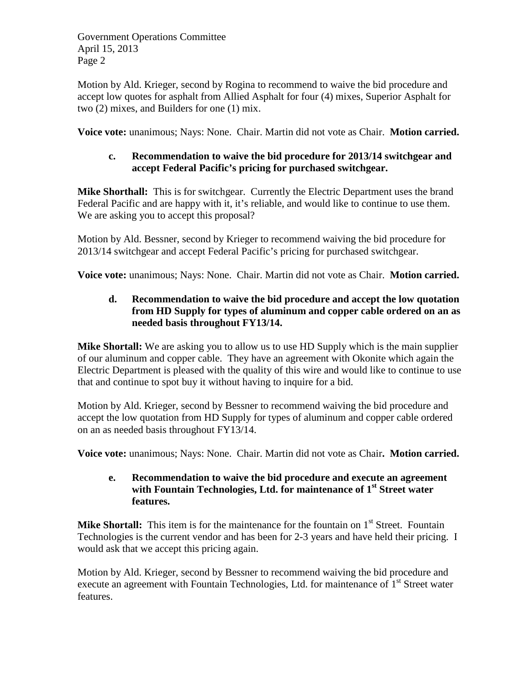Motion by Ald. Krieger, second by Rogina to recommend to waive the bid procedure and accept low quotes for asphalt from Allied Asphalt for four (4) mixes, Superior Asphalt for two (2) mixes, and Builders for one (1) mix.

**Voice vote:** unanimous; Nays: None. Chair. Martin did not vote as Chair. **Motion carried.**

# **c. Recommendation to waive the bid procedure for 2013/14 switchgear and accept Federal Pacific's pricing for purchased switchgear.**

**Mike Shorthall:** This is for switchgear. Currently the Electric Department uses the brand Federal Pacific and are happy with it, it's reliable, and would like to continue to use them. We are asking you to accept this proposal?

Motion by Ald. Bessner, second by Krieger to recommend waiving the bid procedure for 2013/14 switchgear and accept Federal Pacific's pricing for purchased switchgear.

**Voice vote:** unanimous; Nays: None. Chair. Martin did not vote as Chair. **Motion carried.**

# **d. Recommendation to waive the bid procedure and accept the low quotation from HD Supply for types of aluminum and copper cable ordered on an as needed basis throughout FY13/14.**

**Mike Shortall:** We are asking you to allow us to use HD Supply which is the main supplier of our aluminum and copper cable. They have an agreement with Okonite which again the Electric Department is pleased with the quality of this wire and would like to continue to use that and continue to spot buy it without having to inquire for a bid.

Motion by Ald. Krieger, second by Bessner to recommend waiving the bid procedure and accept the low quotation from HD Supply for types of aluminum and copper cable ordered on an as needed basis throughout FY13/14.

**Voice vote:** unanimous; Nays: None. Chair. Martin did not vote as Chair**. Motion carried.**

# **e. Recommendation to waive the bid procedure and execute an agreement with Fountain Technologies, Ltd. for maintenance of 1st Street water features.**

**Mike Shortall:** This item is for the maintenance for the fountain on 1<sup>st</sup> Street. Fountain Technologies is the current vendor and has been for 2-3 years and have held their pricing. I would ask that we accept this pricing again.

Motion by Ald. Krieger, second by Bessner to recommend waiving the bid procedure and execute an agreement with Fountain Technologies, Ltd. for maintenance of 1<sup>st</sup> Street water features.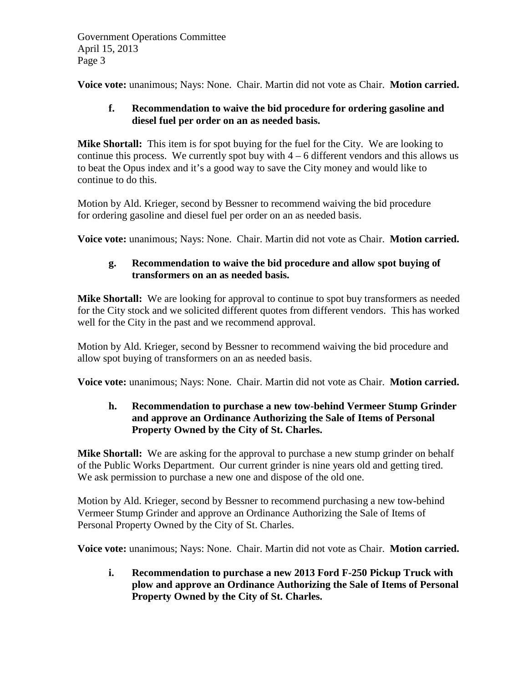**Voice vote:** unanimous; Nays: None. Chair. Martin did not vote as Chair. **Motion carried.**

# **f. Recommendation to waive the bid procedure for ordering gasoline and diesel fuel per order on an as needed basis.**

**Mike Shortall:** This item is for spot buying for the fuel for the City. We are looking to continue this process. We currently spot buy with  $4 - 6$  different vendors and this allows us to beat the Opus index and it's a good way to save the City money and would like to continue to do this.

Motion by Ald. Krieger, second by Bessner to recommend waiving the bid procedure for ordering gasoline and diesel fuel per order on an as needed basis.

**Voice vote:** unanimous; Nays: None. Chair. Martin did not vote as Chair. **Motion carried.**

# **g. Recommendation to waive the bid procedure and allow spot buying of transformers on an as needed basis.**

**Mike Shortall:** We are looking for approval to continue to spot buy transformers as needed for the City stock and we solicited different quotes from different vendors. This has worked well for the City in the past and we recommend approval.

Motion by Ald. Krieger, second by Bessner to recommend waiving the bid procedure and allow spot buying of transformers on an as needed basis.

**Voice vote:** unanimous; Nays: None. Chair. Martin did not vote as Chair. **Motion carried.**

# **h. Recommendation to purchase a new tow-behind Vermeer Stump Grinder and approve an Ordinance Authorizing the Sale of Items of Personal Property Owned by the City of St. Charles.**

**Mike Shortall:** We are asking for the approval to purchase a new stump grinder on behalf of the Public Works Department. Our current grinder is nine years old and getting tired. We ask permission to purchase a new one and dispose of the old one.

Motion by Ald. Krieger, second by Bessner to recommend purchasing a new tow-behind Vermeer Stump Grinder and approve an Ordinance Authorizing the Sale of Items of Personal Property Owned by the City of St. Charles.

**Voice vote:** unanimous; Nays: None. Chair. Martin did not vote as Chair. **Motion carried.**

**i. Recommendation to purchase a new 2013 Ford F-250 Pickup Truck with plow and approve an Ordinance Authorizing the Sale of Items of Personal Property Owned by the City of St. Charles.**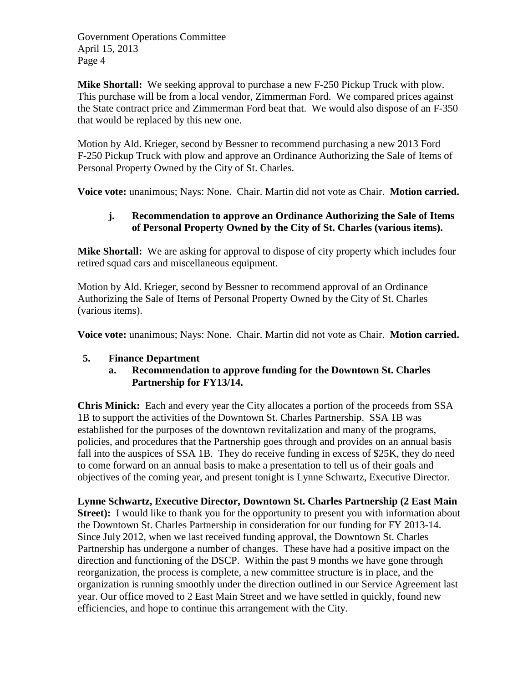**Mike Shortall:** We seeking approval to purchase a new F-250 Pickup Truck with plow. This purchase will be from a local vendor, Zimmerman Ford. We compared prices against the State contract price and Zimmerman Ford beat that. We would also dispose of an F-350 that would be replaced by this new one.

Motion by Ald. Krieger, second by Bessner to recommend purchasing a new 2013 Ford F-250 Pickup Truck with plow and approve an Ordinance Authorizing the Sale of Items of Personal Property Owned by the City of St. Charles.

**Voice vote:** unanimous; Nays: None. Chair. Martin did not vote as Chair. **Motion carried.**

# **j. Recommendation to approve an Ordinance Authorizing the Sale of Items of Personal Property Owned by the City of St. Charles (various items).**

**Mike Shortall:** We are asking for approval to dispose of city property which includes four retired squad cars and miscellaneous equipment.

Motion by Ald. Krieger, second by Bessner to recommend approval of an Ordinance Authorizing the Sale of Items of Personal Property Owned by the City of St. Charles (various items).

**Voice vote:** unanimous; Nays: None. Chair. Martin did not vote as Chair. **Motion carried.**

#### **5. Finance Department**

**a. Recommendation to approve funding for the Downtown St. Charles Partnership for FY13/14.**

**Chris Minick:** Each and every year the City allocates a portion of the proceeds from SSA 1B to support the activities of the Downtown St. Charles Partnership. SSA 1B was established for the purposes of the downtown revitalization and many of the programs, policies, and procedures that the Partnership goes through and provides on an annual basis fall into the auspices of SSA 1B. They do receive funding in excess of \$25K, they do need to come forward on an annual basis to make a presentation to tell us of their goals and objectives of the coming year, and present tonight is Lynne Schwartz, Executive Director.

**Lynne Schwartz, Executive Director, Downtown St. Charles Partnership (2 East Main Street):** I would like to thank you for the opportunity to present you with information about the Downtown St. Charles Partnership in consideration for our funding for FY 2013-14. Since July 2012, when we last received funding approval, the Downtown St. Charles Partnership has undergone a number of changes. These have had a positive impact on the direction and functioning of the DSCP. Within the past 9 months we have gone through reorganization, the process is complete, a new committee structure is in place, and the organization is running smoothly under the direction outlined in our Service Agreement last year. Our office moved to 2 East Main Street and we have settled in quickly, found new efficiencies, and hope to continue this arrangement with the City.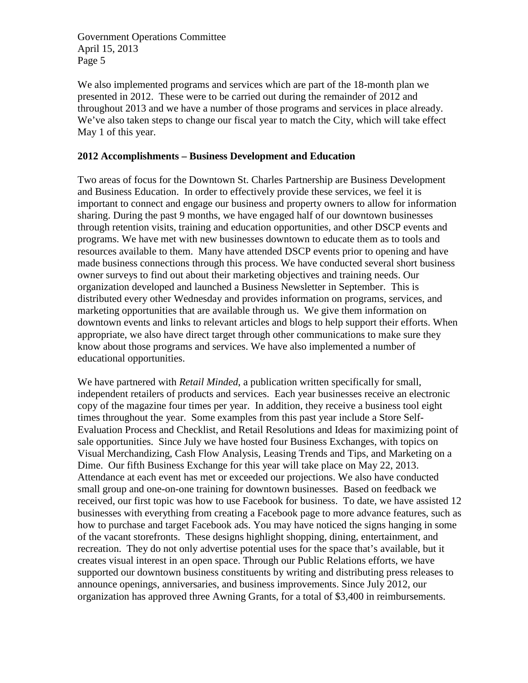We also implemented programs and services which are part of the 18-month plan we presented in 2012. These were to be carried out during the remainder of 2012 and throughout 2013 and we have a number of those programs and services in place already. We've also taken steps to change our fiscal year to match the City, which will take effect May 1 of this year.

### **2012 Accomplishments – Business Development and Education**

Two areas of focus for the Downtown St. Charles Partnership are Business Development and Business Education. In order to effectively provide these services, we feel it is important to connect and engage our business and property owners to allow for information sharing. During the past 9 months, we have engaged half of our downtown businesses through retention visits, training and education opportunities, and other DSCP events and programs. We have met with new businesses downtown to educate them as to tools and resources available to them. Many have attended DSCP events prior to opening and have made business connections through this process. We have conducted several short business owner surveys to find out about their marketing objectives and training needs. Our organization developed and launched a Business Newsletter in September. This is distributed every other Wednesday and provides information on programs, services, and marketing opportunities that are available through us. We give them information on downtown events and links to relevant articles and blogs to help support their efforts. When appropriate, we also have direct target through other communications to make sure they know about those programs and services. We have also implemented a number of educational opportunities.

We have partnered with *Retail Minded*, a publication written specifically for small, independent retailers of products and services. Each year businesses receive an electronic copy of the magazine four times per year. In addition, they receive a business tool eight times throughout the year. Some examples from this past year include a Store Self-Evaluation Process and Checklist, and Retail Resolutions and Ideas for maximizing point of sale opportunities. Since July we have hosted four Business Exchanges, with topics on Visual Merchandizing, Cash Flow Analysis, Leasing Trends and Tips, and Marketing on a Dime. Our fifth Business Exchange for this year will take place on May 22, 2013. Attendance at each event has met or exceeded our projections. We also have conducted small group and one-on-one training for downtown businesses. Based on feedback we received, our first topic was how to use Facebook for business. To date, we have assisted 12 businesses with everything from creating a Facebook page to more advance features, such as how to purchase and target Facebook ads. You may have noticed the signs hanging in some of the vacant storefronts. These designs highlight shopping, dining, entertainment, and recreation. They do not only advertise potential uses for the space that's available, but it creates visual interest in an open space. Through our Public Relations efforts, we have supported our downtown business constituents by writing and distributing press releases to announce openings, anniversaries, and business improvements. Since July 2012, our organization has approved three Awning Grants, for a total of \$3,400 in reimbursements.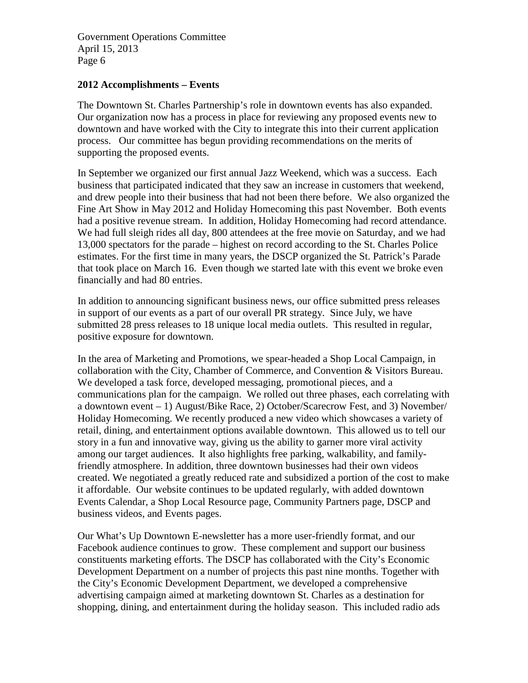#### **2012 Accomplishments – Events**

The Downtown St. Charles Partnership's role in downtown events has also expanded. Our organization now has a process in place for reviewing any proposed events new to downtown and have worked with the City to integrate this into their current application process. Our committee has begun providing recommendations on the merits of supporting the proposed events.

In September we organized our first annual Jazz Weekend, which was a success. Each business that participated indicated that they saw an increase in customers that weekend, and drew people into their business that had not been there before. We also organized the Fine Art Show in May 2012 and Holiday Homecoming this past November. Both events had a positive revenue stream. In addition, Holiday Homecoming had record attendance. We had full sleigh rides all day, 800 attendees at the free movie on Saturday, and we had 13,000 spectators for the parade – highest on record according to the St. Charles Police estimates. For the first time in many years, the DSCP organized the St. Patrick's Parade that took place on March 16. Even though we started late with this event we broke even financially and had 80 entries.

In addition to announcing significant business news, our office submitted press releases in support of our events as a part of our overall PR strategy. Since July, we have submitted 28 press releases to 18 unique local media outlets. This resulted in regular, positive exposure for downtown.

In the area of Marketing and Promotions, we spear-headed a Shop Local Campaign, in collaboration with the City, Chamber of Commerce, and Convention & Visitors Bureau. We developed a task force, developed messaging, promotional pieces, and a communications plan for the campaign. We rolled out three phases, each correlating with a downtown event – 1) August/Bike Race, 2) October/Scarecrow Fest, and 3) November/ Holiday Homecoming. We recently produced a new video which showcases a variety of retail, dining, and entertainment options available downtown. This allowed us to tell our story in a fun and innovative way, giving us the ability to garner more viral activity among our target audiences. It also highlights free parking, walkability, and familyfriendly atmosphere. In addition, three downtown businesses had their own videos created. We negotiated a greatly reduced rate and subsidized a portion of the cost to make it affordable. Our website continues to be updated regularly, with added downtown Events Calendar, a Shop Local Resource page, Community Partners page, DSCP and business videos, and Events pages.

Our What's Up Downtown E-newsletter has a more user-friendly format, and our Facebook audience continues to grow. These complement and support our business constituents marketing efforts. The DSCP has collaborated with the City's Economic Development Department on a number of projects this past nine months. Together with the City's Economic Development Department, we developed a comprehensive advertising campaign aimed at marketing downtown St. Charles as a destination for shopping, dining, and entertainment during the holiday season. This included radio ads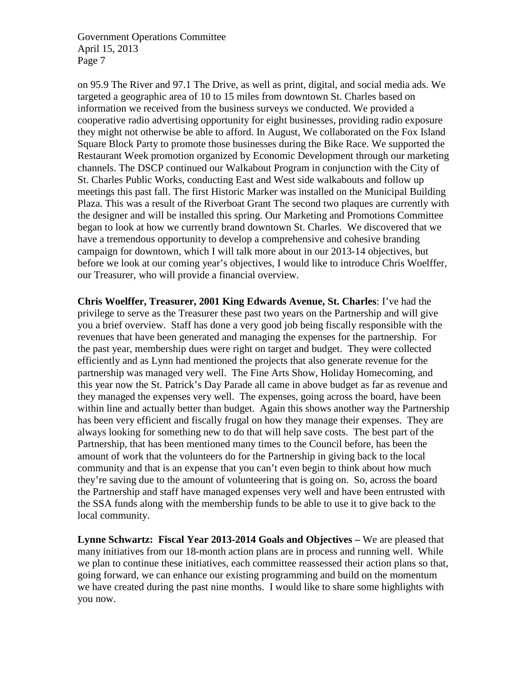on 95.9 The River and 97.1 The Drive, as well as print, digital, and social media ads. We targeted a geographic area of 10 to 15 miles from downtown St. Charles based on information we received from the business surveys we conducted. We provided a cooperative radio advertising opportunity for eight businesses, providing radio exposure they might not otherwise be able to afford. In August, We collaborated on the Fox Island Square Block Party to promote those businesses during the Bike Race. We supported the Restaurant Week promotion organized by Economic Development through our marketing channels. The DSCP continued our Walkabout Program in conjunction with the City of St. Charles Public Works, conducting East and West side walkabouts and follow up meetings this past fall. The first Historic Marker was installed on the Municipal Building Plaza. This was a result of the Riverboat Grant The second two plaques are currently with the designer and will be installed this spring. Our Marketing and Promotions Committee began to look at how we currently brand downtown St. Charles. We discovered that we have a tremendous opportunity to develop a comprehensive and cohesive branding campaign for downtown, which I will talk more about in our 2013-14 objectives, but before we look at our coming year's objectives, I would like to introduce Chris Woelffer, our Treasurer, who will provide a financial overview.

**Chris Woelffer, Treasurer, 2001 King Edwards Avenue, St. Charles**: I've had the privilege to serve as the Treasurer these past two years on the Partnership and will give you a brief overview. Staff has done a very good job being fiscally responsible with the revenues that have been generated and managing the expenses for the partnership. For the past year, membership dues were right on target and budget. They were collected efficiently and as Lynn had mentioned the projects that also generate revenue for the partnership was managed very well. The Fine Arts Show, Holiday Homecoming, and this year now the St. Patrick's Day Parade all came in above budget as far as revenue and they managed the expenses very well. The expenses, going across the board, have been within line and actually better than budget. Again this shows another way the Partnership has been very efficient and fiscally frugal on how they manage their expenses. They are always looking for something new to do that will help save costs. The best part of the Partnership, that has been mentioned many times to the Council before, has been the amount of work that the volunteers do for the Partnership in giving back to the local community and that is an expense that you can't even begin to think about how much they're saving due to the amount of volunteering that is going on. So, across the board the Partnership and staff have managed expenses very well and have been entrusted with the SSA funds along with the membership funds to be able to use it to give back to the local community.

**Lynne Schwartz: Fiscal Year 2013-2014 Goals and Objectives –** We are pleased that many initiatives from our 18-month action plans are in process and running well. While we plan to continue these initiatives, each committee reassessed their action plans so that, going forward, we can enhance our existing programming and build on the momentum we have created during the past nine months. I would like to share some highlights with you now.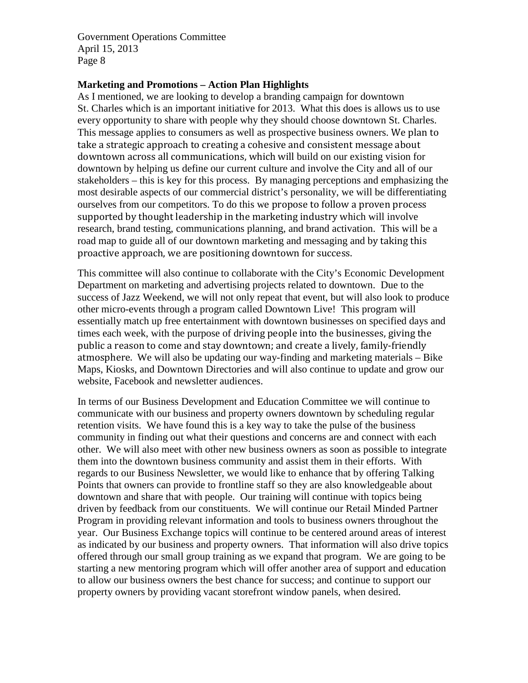#### **Marketing and Promotions – Action Plan Highlights**

As I mentioned, we are looking to develop a branding campaign for downtown St. Charles which is an important initiative for 2013. What this does is allows us to use every opportunity to share with people why they should choose downtown St. Charles. This message applies to consumers as well as prospective business owners. We plan to take a strategic approach to creating a cohesive and consistent message about downtown across all communications, which will build on our existing vision for downtown by helping us define our current culture and involve the City and all of our stakeholders – this is key for this process. By managing perceptions and emphasizing the most desirable aspects of our commercial district's personality, we will be differentiating ourselves from our competitors. To do this we propose to follow a proven process supported by thought leadership in the marketing industry which will involve research, brand testing, communications planning, and brand activation. This will be a road map to guide all of our downtown marketing and messaging and by taking this proactive approach, we are positioning downtown for success.

This committee will also continue to collaborate with the City's Economic Development Department on marketing and advertising projects related to downtown. Due to the success of Jazz Weekend, we will not only repeat that event, but will also look to produce other micro-events through a program called Downtown Live! This program will essentially match up free entertainment with downtown businesses on specified days and times each week, with the purpose of driving people into the businesses, giving the public a reason to come and stay downtown; and create a lively, family-friendly atmosphere. We will also be updating our way-finding and marketing materials – Bike Maps, Kiosks, and Downtown Directories and will also continue to update and grow our website, Facebook and newsletter audiences.

In terms of our Business Development and Education Committee we will continue to communicate with our business and property owners downtown by scheduling regular retention visits. We have found this is a key way to take the pulse of the business community in finding out what their questions and concerns are and connect with each other. We will also meet with other new business owners as soon as possible to integrate them into the downtown business community and assist them in their efforts. With regards to our Business Newsletter, we would like to enhance that by offering Talking Points that owners can provide to frontline staff so they are also knowledgeable about downtown and share that with people. Our training will continue with topics being driven by feedback from our constituents. We will continue our Retail Minded Partner Program in providing relevant information and tools to business owners throughout the year. Our Business Exchange topics will continue to be centered around areas of interest as indicated by our business and property owners. That information will also drive topics offered through our small group training as we expand that program. We are going to be starting a new mentoring program which will offer another area of support and education to allow our business owners the best chance for success; and continue to support our property owners by providing vacant storefront window panels, when desired.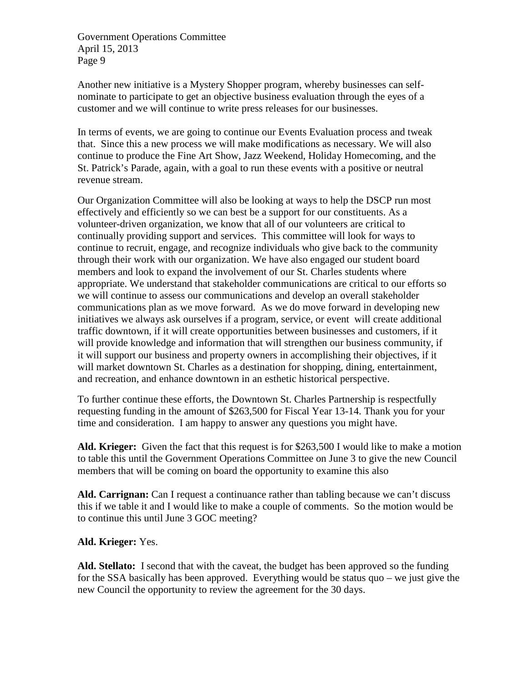Another new initiative is a Mystery Shopper program, whereby businesses can selfnominate to participate to get an objective business evaluation through the eyes of a customer and we will continue to write press releases for our businesses.

In terms of events, we are going to continue our Events Evaluation process and tweak that. Since this a new process we will make modifications as necessary. We will also continue to produce the Fine Art Show, Jazz Weekend, Holiday Homecoming, and the St. Patrick's Parade, again, with a goal to run these events with a positive or neutral revenue stream.

Our Organization Committee will also be looking at ways to help the DSCP run most effectively and efficiently so we can best be a support for our constituents. As a volunteer-driven organization, we know that all of our volunteers are critical to continually providing support and services. This committee will look for ways to continue to recruit, engage, and recognize individuals who give back to the community through their work with our organization. We have also engaged our student board members and look to expand the involvement of our St. Charles students where appropriate. We understand that stakeholder communications are critical to our efforts so we will continue to assess our communications and develop an overall stakeholder communications plan as we move forward. As we do move forward in developing new initiatives we always ask ourselves if a program, service, or event will create additional traffic downtown, if it will create opportunities between businesses and customers, if it will provide knowledge and information that will strengthen our business community, if it will support our business and property owners in accomplishing their objectives, if it will market downtown St. Charles as a destination for shopping, dining, entertainment, and recreation, and enhance downtown in an esthetic historical perspective.

To further continue these efforts, the Downtown St. Charles Partnership is respectfully requesting funding in the amount of \$263,500 for Fiscal Year 13-14. Thank you for your time and consideration. I am happy to answer any questions you might have.

**Ald. Krieger:** Given the fact that this request is for \$263,500 I would like to make a motion to table this until the Government Operations Committee on June 3 to give the new Council members that will be coming on board the opportunity to examine this also

**Ald. Carrignan:** Can I request a continuance rather than tabling because we can't discuss this if we table it and I would like to make a couple of comments. So the motion would be to continue this until June 3 GOC meeting?

**Ald. Krieger:** Yes.

**Ald. Stellato:** I second that with the caveat, the budget has been approved so the funding for the SSA basically has been approved. Everything would be status quo – we just give the new Council the opportunity to review the agreement for the 30 days.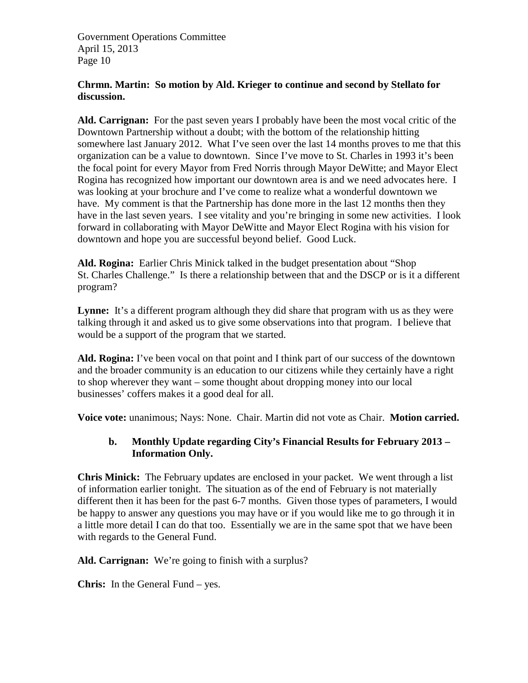### **Chrmn. Martin: So motion by Ald. Krieger to continue and second by Stellato for discussion.**

**Ald. Carrignan:** For the past seven years I probably have been the most vocal critic of the Downtown Partnership without a doubt; with the bottom of the relationship hitting somewhere last January 2012. What I've seen over the last 14 months proves to me that this organization can be a value to downtown. Since I've move to St. Charles in 1993 it's been the focal point for every Mayor from Fred Norris through Mayor DeWitte; and Mayor Elect Rogina has recognized how important our downtown area is and we need advocates here. I was looking at your brochure and I've come to realize what a wonderful downtown we have. My comment is that the Partnership has done more in the last 12 months then they have in the last seven years. I see vitality and you're bringing in some new activities. I look forward in collaborating with Mayor DeWitte and Mayor Elect Rogina with his vision for downtown and hope you are successful beyond belief. Good Luck.

**Ald. Rogina:** Earlier Chris Minick talked in the budget presentation about "Shop St. Charles Challenge." Is there a relationship between that and the DSCP or is it a different program?

Lynne: It's a different program although they did share that program with us as they were talking through it and asked us to give some observations into that program. I believe that would be a support of the program that we started.

**Ald. Rogina:** I've been vocal on that point and I think part of our success of the downtown and the broader community is an education to our citizens while they certainly have a right to shop wherever they want – some thought about dropping money into our local businesses' coffers makes it a good deal for all.

**Voice vote:** unanimous; Nays: None. Chair. Martin did not vote as Chair. **Motion carried.**

# **b. Monthly Update regarding City's Financial Results for February 2013 – Information Only.**

**Chris Minick:** The February updates are enclosed in your packet. We went through a list of information earlier tonight. The situation as of the end of February is not materially different then it has been for the past 6-7 months. Given those types of parameters, I would be happy to answer any questions you may have or if you would like me to go through it in a little more detail I can do that too. Essentially we are in the same spot that we have been with regards to the General Fund.

**Ald. Carrignan:** We're going to finish with a surplus?

**Chris:** In the General Fund – yes.